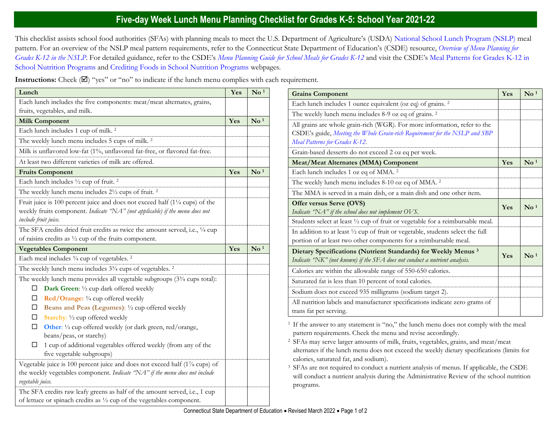## **Five-day Week Lunch Menu Planning Checklist for Grades K-5: School Year 2021-22**

This checklist assists school food authorities (SFAs) with planning meals to meet the U.S. Department of Agriculture's (USDA) [National School Lunch Program \(NSLP\)](https://portal.ct.gov/SDE/Nutrition/National-School-Lunch-Program) meal pattern. For an overview of the NSLP meal pattern requirements, refer to the Connecticut State Department of Education's (CSDE) resource, *[Overview of Menu Planning for](https://portal.ct.gov/-/media/SDE/Nutrition/NSLP/MealPattern/Overview_Menu_Planning_NSLP_grades_K-12.pdf)  [Grades K-12 in the NSLP](https://portal.ct.gov/-/media/SDE/Nutrition/NSLP/MealPattern/Overview_Menu_Planning_NSLP_grades_K-12.pdf)*. For detailed guidance, refer to the CSDE's *[Menu Planning Guide for School Meals for Grades K-12](https://portal.ct.gov/SDE/Nutrition/Menu-Planning-Guide-for-School-Meals)* and visit the CSDE's [Meal Patterns for Grades K-12 in](https://portal.ct.gov/SDE/Nutrition/Meal-Patterns-School-Nutrition-Programs)  [School Nutrition Programs](https://portal.ct.gov/SDE/Nutrition/Meal-Patterns-School-Nutrition-Programs) and [Crediting Foods in School Nutrition Programs](https://portal.ct.gov/SDE/Nutrition/Crediting-Foods-in-School-Nutrition-Programs) webpages*.*

**Instructions:** Check  $(\mathbb{Z})$  "yes" or "no" to indicate if the lunch menu complies with each requirement.

| Lunch                                                                                                                                                                                          | Yes | $\mathbf{N}\mathbf{o}$ <sup>1</sup> |
|------------------------------------------------------------------------------------------------------------------------------------------------------------------------------------------------|-----|-------------------------------------|
| Each lunch includes the five components: meat/meat alternates, grains,                                                                                                                         |     |                                     |
| fruits, vegetables, and milk.                                                                                                                                                                  |     |                                     |
| <b>Milk Component</b>                                                                                                                                                                          | Yes | $\mathbf{N}\mathbf{o}$ <sup>1</sup> |
| Each lunch includes 1 cup of milk. <sup>2</sup>                                                                                                                                                |     |                                     |
| The weekly lunch menu includes 5 cups of milk. <sup>2</sup>                                                                                                                                    |     |                                     |
| Milk is unflavored low-fat (1%, unflavored fat-free, or flavored fat-free.                                                                                                                     |     |                                     |
| At least two different varieties of milk are offered.                                                                                                                                          |     |                                     |
| <b>Fruits Component</b>                                                                                                                                                                        | Yes | $\mathbf{N}\mathbf{o}$ <sup>1</sup> |
| Each lunch includes 1/2 cup of fruit. <sup>2</sup>                                                                                                                                             |     |                                     |
| The weekly lunch menu includes 21/2 cups of fruit. <sup>2</sup>                                                                                                                                |     |                                     |
| Fruit juice is 100 percent juice and does not exceed half $(1\frac{1}{4}$ cups) of the<br>weekly fruits component. Indicate "NA" (not applicable) if the menu does not<br>include fruit juice. |     |                                     |
| The SFA credits dried fruit credits as twice the amount served, i.e., 1/4 cup                                                                                                                  |     |                                     |
| of raisins credits as $\frac{1}{2}$ cup of the fruits component.                                                                                                                               |     |                                     |
| <b>Vegetables Component</b>                                                                                                                                                                    | Yes | $\mathbf{N}\mathbf{o}$ <sup>1</sup> |
| Each meal includes 3/4 cup of vegetables. <sup>2</sup>                                                                                                                                         |     |                                     |
| The weekly lunch menu includes 3 <sup>3</sup> /4 cups of vegetables. <sup>2</sup>                                                                                                              |     |                                     |
| The weekly lunch menu provides all vegetable subgroups (3 <sup>3</sup> /4 cups total):                                                                                                         |     |                                     |
| Dark Green: 1/2 cup dark offered weekly<br>ப                                                                                                                                                   |     |                                     |
| Red/Orange: 3/4 cup offered weekly<br>□                                                                                                                                                        |     |                                     |
| Beans and Peas (Legumes): 1/2 cup offered weekly<br>⊔                                                                                                                                          |     |                                     |
| Starchy: 1/2 cup offered weekly<br>□                                                                                                                                                           |     |                                     |
| □<br>Other: 1/2 cup offered weekly (or dark green, red/orange,<br>beans/peas, or starchy)                                                                                                      |     |                                     |
| 1 cup of additional vegetables offered weekly (from any of the<br>□<br>five vegetable subgroups)                                                                                               |     |                                     |
| Vegetable juice is 100 percent juice and does not exceed half (1% cups) of                                                                                                                     |     |                                     |
| the weekly vegetables component. Indicate "NA" if the menu does not include<br>vegetable juice.                                                                                                |     |                                     |
| The SFA credits raw leafy greens as half of the amount served, i.e., 1 cup<br>of lettuce or spinach credits as $\frac{1}{2}$ cup of the vegetables component.                                  |     |                                     |

| <b>Grains Component</b>                                                                                                                                                                    | Yes | $\mathbf{N}\mathbf{o}$ <sup>1</sup> |
|--------------------------------------------------------------------------------------------------------------------------------------------------------------------------------------------|-----|-------------------------------------|
| Each lunch includes 1 ounce equivalent (oz eq) of grains. <sup>2</sup>                                                                                                                     |     |                                     |
| The weekly lunch menu includes 8-9 oz eq of grains. <sup>2</sup>                                                                                                                           |     |                                     |
| All grains are whole grain-rich (WGR). For more information, refer to the<br>CSDE's guide, Meeting the Whole Grain-rich Requirement for the NSLP and SBP<br>Meal Patterns for Grades K-12. |     |                                     |
| Grain-based desserts do not exceed 2 oz eq per week.                                                                                                                                       |     |                                     |
| <b>Meat/Meat Alternates (MMA) Component</b>                                                                                                                                                | Yes | $\mathrm{No}$ <sup>1</sup>          |
| Each lunch includes 1 oz eq of MMA. <sup>2</sup>                                                                                                                                           |     |                                     |
| The weekly lunch menu includes 8-10 oz eq of MMA. <sup>2</sup>                                                                                                                             |     |                                     |
| The MMA is served in a main dish, or a main dish and one other item.                                                                                                                       |     |                                     |
| Offer versus Serve (OVS)<br>Indicate "NA" if the school does not implement OVS.                                                                                                            | Yes | $\mathrm{No}^{1}$                   |
| Students select at least 1/2 cup of fruit or vegetable for a reimbursable meal.                                                                                                            |     |                                     |
| In addition to at least 1/2 cup of fruit or vegetable, students select the full<br>portion of at least two other components for a reimbursable meal.                                       |     |                                     |
| Dietary Specifications (Nutrient Standards) for Weekly Menus <sup>3</sup><br>Indicate "NK" (not known) if the SFA does not conduct a nutrient analysis.                                    | Yes | $\mathrm{No}^{1}$                   |
| Calories are within the allowable range of 550-650 calories.                                                                                                                               |     |                                     |
| Saturated fat is less than 10 percent of total calories.                                                                                                                                   |     |                                     |
| Sodium does not exceed 935 milligrams (sodium target 2).                                                                                                                                   |     |                                     |
| All nutrition labels and manufacturer specifications indicate zero grams of<br>trans fat per serving.                                                                                      |     |                                     |

<sup>1</sup> If the answer to any statement is "no," the lunch menu does not comply with the meal pattern requirements. Check the menu and revise accordingly.

<sup>2</sup>SFAs may serve larger amounts of milk, fruits, vegetables, grains, and meat/meat alternates if the lunch menu does not exceed the weekly dietary specifications (limits for calories, saturated fat, and sodium).

<sup>3</sup> SFAs are not required to conduct a nutrient analysis of menus. If applicable, the CSDE will conduct a nutrient analysis during the Administrative Review of the school nutrition programs.